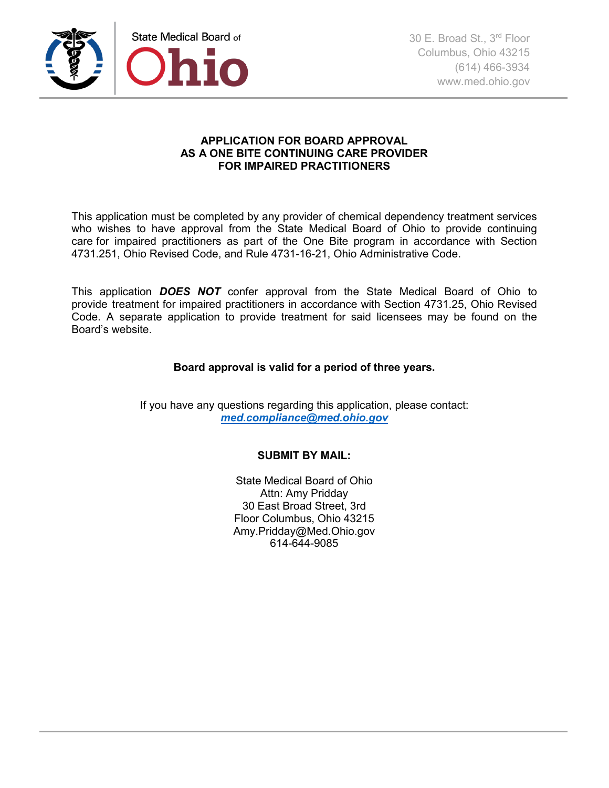

## **APPLICATION FOR BOARD APPROVAL AS A ONE BITE CONTINUING CARE PROVIDER FOR IMPAIRED PRACTITIONERS**

This application must be completed by any provider of chemical dependency treatment services who wishes to have approval from the State Medical Board of Ohio to provide continuing care for impaired practitioners as part of the One Bite program in accordance with Section 4731.251, Ohio Revised Code, and Rule 4731-16-21, Ohio Administrative Code.

This application *DOES NOT* confer approval from the State Medical Board of Ohio to provide treatment for impaired practitioners in accordance with Section 4731.25, Ohio Revised Code. A separate application to provide treatment for said licensees may be found on the Board's website.

## **Board approval is valid for a period of three years.**

If you have any questions regarding this application, please contact: *med.compliance@med.ohio.gov*

## **SUBMIT BY MAIL:**

State Medical Board of Ohio Attn: Amy Pridday 30 East Broad Street, 3rd Floor Columbus, Ohio 43215 Amy.Pridday@Med.Ohio.gov 614-644-9085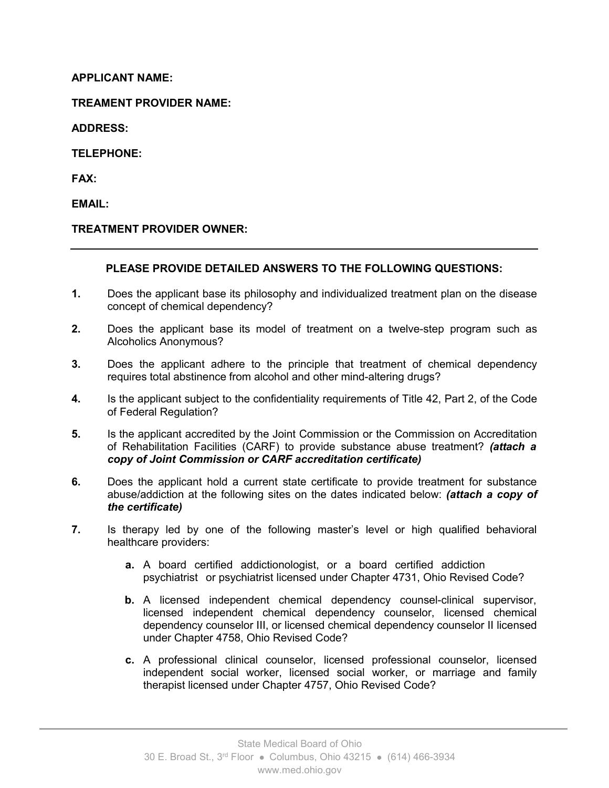## **APPLICANT NAME:**

**TREAMENT PROVIDER NAME:**

**ADDRESS:**

**TELEPHONE:**

**FAX:**

**EMAIL:**

## **TREATMENT PROVIDER OWNER:**

## **PLEASE PROVIDE DETAILED ANSWERS TO THE FOLLOWING QUESTIONS:**

- **1.** Does the applicant base its philosophy and individualized treatment plan on the disease concept of chemical dependency?
- **2.** Does the applicant base its model of treatment on a twelve-step program such as Alcoholics Anonymous?
- **3.** Does the applicant adhere to the principle that treatment of chemical dependency requires total abstinence from alcohol and other mind-altering drugs?
- **4.** Is the applicant subject to the confidentiality requirements of Title 42, Part 2, of the Code of Federal Regulation?
- **5.** Is the applicant accredited by the Joint Commission or the Commission on Accreditation of Rehabilitation Facilities (CARF) to provide substance abuse treatment? *(attach a copy of Joint Commission or CARF accreditation certificate)*
- **6.** Does the applicant hold a current state certificate to provide treatment for substance abuse/addiction at the following sites on the dates indicated below: *(attach a copy of the certificate)*
- **7.** Is therapy led by one of the following master's level or high qualified behavioral healthcare providers:
	- **a.** A board certified addictionologist, or a board certified addiction psychiatrist or psychiatrist licensed under Chapter 4731, Ohio Revised Code?
	- **b.** A licensed independent chemical dependency counsel-clinical supervisor, licensed independent chemical dependency counselor, licensed chemical dependency counselor III, or licensed chemical dependency counselor II licensed under Chapter 4758, Ohio Revised Code?
	- **c.** A professional clinical counselor, licensed professional counselor, licensed independent social worker, licensed social worker, or marriage and family therapist licensed under Chapter 4757, Ohio Revised Code?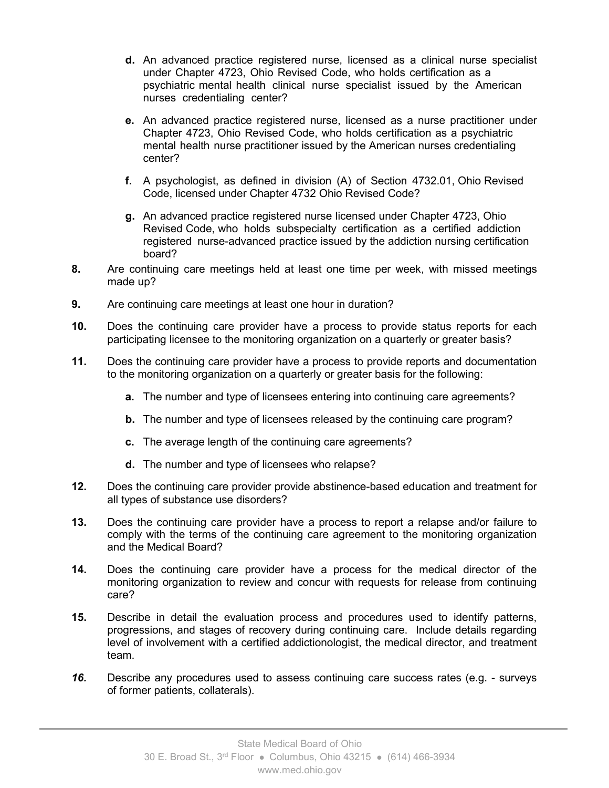- **d.** An advanced practice registered nurse, licensed as a clinical nurse specialist under Chapter 4723, Ohio Revised Code, who holds certification as a psychiatric mental health clinical nurse specialist issued by the American nurses credentialing center?
- **e.** An advanced practice registered nurse, licensed as a nurse practitioner under Chapter 4723, Ohio Revised Code, who holds certification as a psychiatric mental health nurse practitioner issued by the American nurses credentialing center?
- **f.** A psychologist, as defined in division (A) of Section 4732.01, Ohio Revised Code, licensed under Chapter 4732 Ohio Revised Code?
- **g.** An advanced practice registered nurse licensed under Chapter 4723, Ohio Revised Code, who holds subspecialty certification as a certified addiction registered nurse-advanced practice issued by the addiction nursing certification board?
- **8.** Are continuing care meetings held at least one time per week, with missed meetings made up?
- **9.** Are continuing care meetings at least one hour in duration?
- **10.** Does the continuing care provider have a process to provide status reports for each participating licensee to the monitoring organization on a quarterly or greater basis?
- **11.** Does the continuing care provider have a process to provide reports and documentation to the monitoring organization on a quarterly or greater basis for the following:
	- **a.** The number and type of licensees entering into continuing care agreements?
	- **b.** The number and type of licensees released by the continuing care program?
	- **c.** The average length of the continuing care agreements?
	- **d.** The number and type of licensees who relapse?
- **12.** Does the continuing care provider provide abstinence-based education and treatment for all types of substance use disorders?
- **13.** Does the continuing care provider have a process to report a relapse and/or failure to comply with the terms of the continuing care agreement to the monitoring organization and the Medical Board?
- **14.** Does the continuing care provider have a process for the medical director of the monitoring organization to review and concur with requests for release from continuing care?
- **15.** Describe in detail the evaluation process and procedures used to identify patterns, progressions, and stages of recovery during continuing care. Include details regarding level of involvement with a certified addictionologist, the medical director, and treatment team.
- *16.* Describe any procedures used to assess continuing care success rates (e.g. surveys of former patients, collaterals).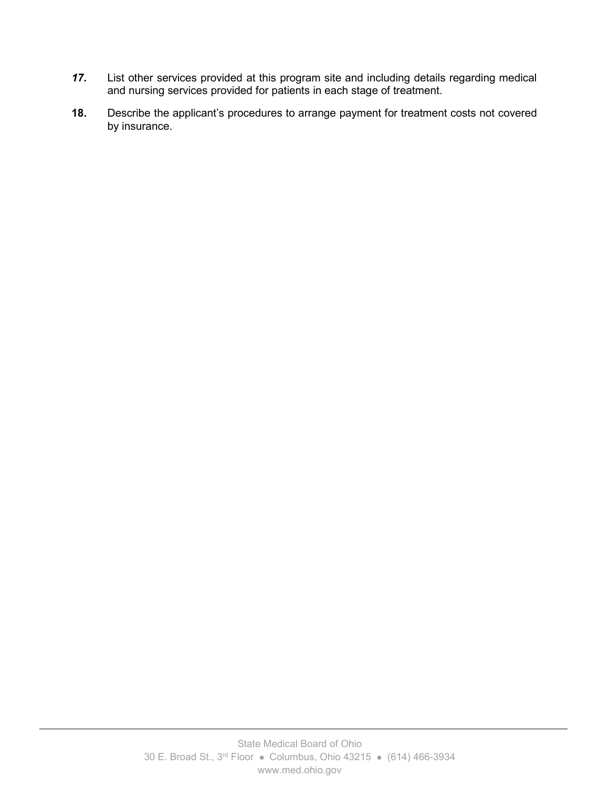- *17.* List other services provided at this program site and including details regarding medical and nursing services provided for patients in each stage of treatment.
- **18.** Describe the applicant's procedures to arrange payment for treatment costs not covered by insurance.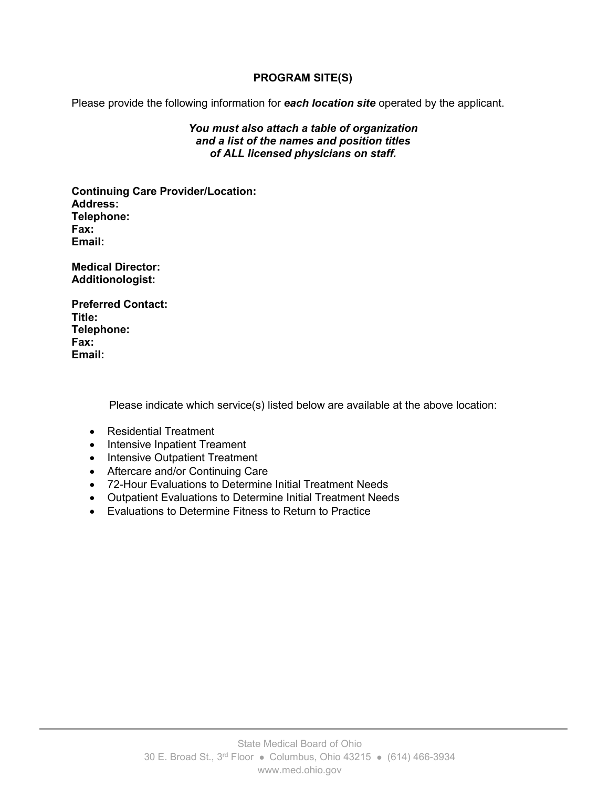## **PROGRAM SITE(S)**

Please provide the following information for *each location site* operated by the applicant.

#### *You must also attach a table of organization and a list of the names and position titles of ALL licensed physicians on staff.*

**Continuing Care Provider/Location: Address: Telephone: Fax: Email:**

**Medical Director: Additionologist:**

**Preferred Contact: Title: Telephone: Fax: Email:**

Please indicate which service(s) listed below are available at the above location:

- Residential Treatment
- Intensive Inpatient Treament
- Intensive Outpatient Treatment
- Aftercare and/or Continuing Care
- 72-Hour Evaluations to Determine Initial Treatment Needs
- Outpatient Evaluations to Determine Initial Treatment Needs
- Evaluations to Determine Fitness to Return to Practice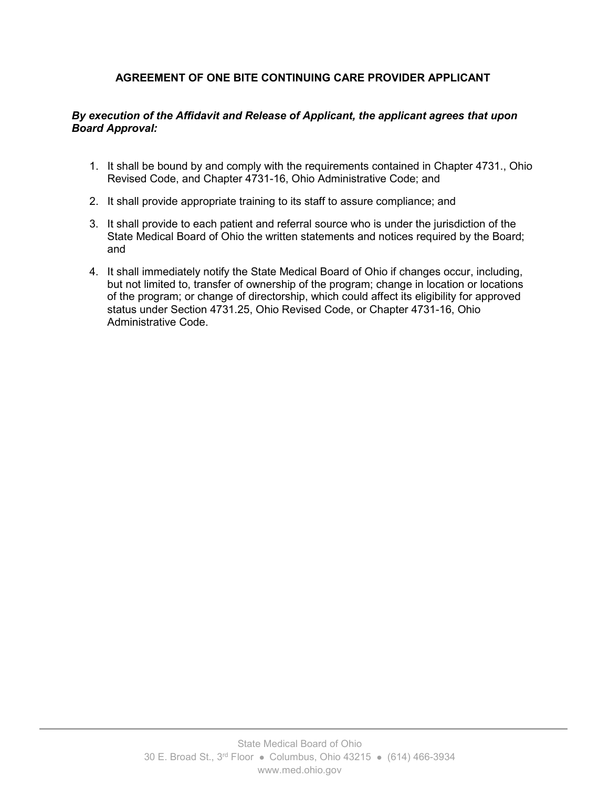# **AGREEMENT OF ONE BITE CONTINUING CARE PROVIDER APPLICANT**

### *By execution of the Affidavit and Release of Applicant, the applicant agrees that upon Board Approval:*

- 1. It shall be bound by and comply with the requirements contained in Chapter 4731., Ohio Revised Code, and Chapter 4731-16, Ohio Administrative Code; and
- 2. It shall provide appropriate training to its staff to assure compliance; and
- 3. It shall provide to each patient and referral source who is under the jurisdiction of the State Medical Board of Ohio the written statements and notices required by the Board; and
- 4. It shall immediately notify the State Medical Board of Ohio if changes occur, including, but not limited to, transfer of ownership of the program; change in location or locations of the program; or change of directorship, which could affect its eligibility for approved status under Section 4731.25, Ohio Revised Code, or Chapter 4731-16, Ohio Administrative Code.